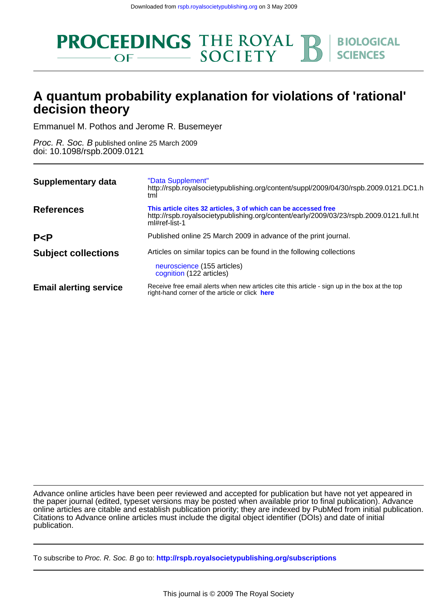

# **decision theory A quantum probability explanation for violations of 'rational'**

Emmanuel M. Pothos and Jerome R. Busemeyer

doi: 10.1098/rspb.2009.0121 Proc. R. Soc. B published online 25 March 2009

| <b>Supplementary data</b>     | "Data Supplement"<br>http://rspb.royalsocietypublishing.org/content/suppl/2009/04/30/rspb.2009.0121.DC1.h<br>tml                                                           |
|-------------------------------|----------------------------------------------------------------------------------------------------------------------------------------------------------------------------|
| <b>References</b>             | This article cites 32 articles, 3 of which can be accessed free<br>http://rspb.royalsocietypublishing.org/content/early/2009/03/23/rspb.2009.0121.full.ht<br>ml#ref-list-1 |
| P < P                         | Published online 25 March 2009 in advance of the print journal.                                                                                                            |
| <b>Subject collections</b>    | Articles on similar topics can be found in the following collections<br>neuroscience (155 articles)<br>cognition (122 articles)                                            |
| <b>Email alerting service</b> | Receive free email alerts when new articles cite this article - sign up in the box at the top<br>right-hand corner of the article or click here                            |

publication. Citations to Advance online articles must include the digital object identifier (DOIs) and date of initial online articles are citable and establish publication priority; they are indexed by PubMed from initial publication. the paper journal (edited, typeset versions may be posted when available prior to final publication). Advance Advance online articles have been peer reviewed and accepted for publication but have not yet appeared in

To subscribe to Proc. R. Soc. B go to: **<http://rspb.royalsocietypublishing.org/subscriptions>**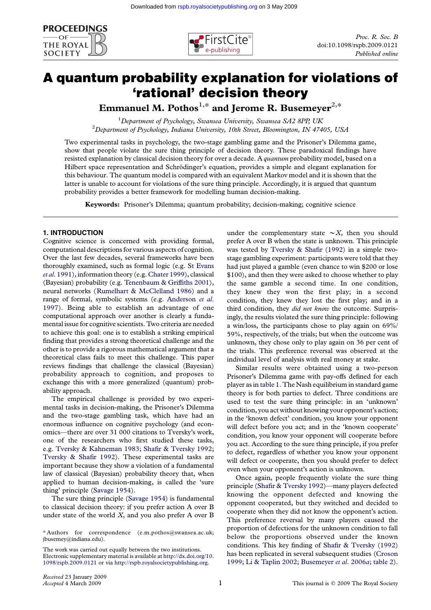



# A quantum probability explanation for violations of 'rational' decision theory

Emmanuel M. Pothos<sup>1,\*</sup> and Jerome R. Busemeyer<sup>2,\*</sup>

<sup>1</sup> Department of Psychology, Swansea University, Swansea SA2 8PP, UK<br><sup>2</sup> Department of Psychology, Indiana University, 10th Street, Pleamington, IN 474  ${}^{2}$ Department of Psychology, Indiana University, 10th Street, Bloomington, IN 47405, USA

Two experimental tasks in psychology, the two-stage gambling game and the Prisoner's Dilemma game, show that people violate the sure thing principle of decision theory. These paradoxical findings have resisted explanation by classical decision theory for over a decade. A quantum probability model, based on a Hilbert space representation and Schrödinger's equation, provides a simple and elegant explanation for this behaviour. The quantum model is compared with an equivalent Markov model and it is shown that the latter is unable to account for violations of the sure thing principle. Accordingly, it is argued that quantum probability provides a better framework for modelling human decision-making.

Keywords: Prisoner's Dilemma; quantum probability; decision-making; cognitive science

# 1. INTRODUCTION

Cognitive science is concerned with providing formal, computational descriptions for various aspects of cognition. Over the last few decades, several frameworks have been thoroughly examined, such as formal logic (e.g. St Evans et al. 1991), information theory (e.g. Chater 1999), classical (Bayesian) probability (e.g. Tenenbaum & Griffiths 2001), neural networks (Rumelhart & McClelland 1986) and a range of formal, symbolic systems (e.g. Anderson et al. [1997\). B](#page-8-0)eing able to establish [an advantag](#page-7-0)[e](#page-8-0) [of](#page-8-0) [one](#page-8-0) computational approach o[ver another is clearly a funda](#page-8-0)mental issue for co[gnitive scientists. Two criteria are](#page-8-0) needed to achieve this goal: one is to establish a s[triking empirical](#page-7-0) [findin](#page-7-0)g that provides a strong theoretical challenge and the other is to provide a rigorous mathematical argument that a theoretical class fails to meet this challenge. This paper reviews findings that challenge the classical (Bayesian) probability approach to cognition, and proposes to exchange this with a more generalized (quantum) probability approach.

The empirical challenge is provided by two experimental tasks in decision-making, the Prisoner's Dilemma and the two-stage gambling task, which have had an enormous influence on cognitive psychology (and economics—there are over 31 000 citations to Tversky's work, one of the researchers who first studied these tasks, e.g. Tversky & Kahneman 1983; Shafir & Tversky 1992; Tversky & Shafir 1992). These experimental tasks are important because they show a violation of a fundamental law of classical (Bayesian) probability theory that, when app[lied to human decision-making, is called the 'sure](#page-8-0) [thing' principle \(Savage](#page-8-0) 1954).

The sure thing principle (Savage 1954) is fundamental to classical decision theory: if you prefer action A over B under state of the world  $X$ , and you also prefer A over B under the complementary state  $\sim X$ , then you should prefer A over B when the state is unknown. This principle was tested by Tversky & Shafir (1992) in a simple twostage gambling experiment: participants were told that they had just played a gamble (even chance to win \$200 or lose \$100), and then they were asked to choose whether to play the same ga[mble a second time. In](#page-8-0) one condition, they knew they won the first play; in a second condition, they knew they lost the first play; and in a third condition, they did not know the outcome. Surprisingly, the results violated the sure thing principle: following a win/loss, the participants chose to play again on 69%/ 59%, respectively, of the trials; but when the outcome was unknown, they chose only to play again on 36 per cent of the trials. This preference reversal was observed at the individual level of analysis with real money at stake.

Similar results were obtained using a two-person Prisoner's Dilemma game with pay-offs defined for each player as in table 1. The Nash equilibrium in standard game theory is for both parties to defect. Three conditions are used to test the sure thing principle: in an 'unknown' condition, you act without knowing your opponent's action; in the 'kno[wn defe](#page-2-0)ct' condition, you know your opponent will defect before you act; and in the 'known cooperate' condition, you know your opponent will cooperate before you act. According to the sure thing principle, if you prefer to defect, regardless of whether you know your opponent will defect or cooperate, then you should prefer to defect even when your opponent's action is unknown.

Once again, people frequently violate the sure thing principle (Shafir & Tversky 1992)—many players defected knowing the opponent defected and knowing the opponent cooperated, but they switched and decided to cooperate when they did not know the opponent's action. This pref[erence reversal by m](#page-8-0)any players caused the proportion of defections for the unknown condition to fall below the proportions observed under the known conditions. This key finding of Shafir & Tversky (1992) has been replicated in several subsequent studies (Croson 1999; Li & Taplin 2002; Busemeyer et al. 2006a; table 2).

<sup>\*</sup> Authors for c[orrespondence \(e.m.potho](#page-8-0)s@swansea.ac.uk; jbusemey@indiana.edu).

The work was carried out equally between the two institutions. Electronic supplementary material is available at http://dx.doi.org/10. 1098/rspb.2009.0121 or via http://rspb.royalsocietypublishing.org.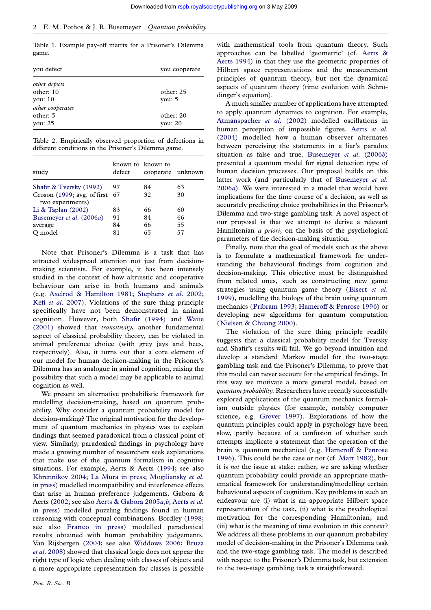<span id="page-2-0"></span>Table 1. Example pay-off matrix for a Prisoner's Dilemma game.

| you defect                                  | you cooperate          |  |  |
|---------------------------------------------|------------------------|--|--|
| other defects<br>other: 10<br>vou: $10$     | other: 25<br>vou: 5    |  |  |
| other cooperates<br>other: $5$<br>vou: $25$ | other: 20<br>vou: $20$ |  |  |

Table 2. Empirically observed proportion of defections in different conditions in the Prisoner's Dilemma game.

| study                          | defect | known to known to<br>cooperate unknown |    |
|--------------------------------|--------|----------------------------------------|----|
| Shafir & Tversky (1992)        | 97     | 84                                     | 63 |
| Croson (1999; avg. of first 67 |        | 32                                     | 30 |
| two experiments)               |        |                                        |    |
| Li & Taplan (2002)             | 83     | 66                                     | 60 |
| Busemeyer et al. (2006a)       | 91     | 84                                     | 66 |
| average                        | 84     | 66                                     | 55 |
| O model                        | 81     | 65                                     | 57 |

[Note that Prisoner'](#page-7-0)s Dilemma is a task that has attracted widespread attention not just from decisionmaking scientists. For example, it has been intensely studied in the context of how altruistic and cooperative behaviour can arise in both humans and animals (e.g. Axelrod & Hamilton 1981; Stephens et al. 2002; Kefi et al. 2007). Violations of the sure thing principle specifically have not been demonstrated in animal cognition. However, both Shafir (1994) and Waite (2001) [showed that](#page-7-0) transitivity, [another fundamental](#page-8-0) [aspect of classica](#page-8-0)l probability theory, can be violated in animal preference choice (with grey jays and bees, respectively). Also, it turns [out that a core](#page-8-0) elem[ent of](#page-8-0) [our mo](#page-8-0)del for human decision-making in the Prisoner's Dilemma has an analogue in animal cognition, raising the possibility that such a model may be applicable to animal cognition as well.

We present an alternative probabilistic framework for modelling decision-making, based on quantum probability. Why consider a quantum probability model for decision-making? The original motivation for the development of quantum mechanics in physics was to explain findings that seemed paradoxical from a classical point of view. Similarly, paradoxical findings in psychology have made a growing number of researchers seek explanations that make use of the quantum formalism in cognitive situations. For example, Aerts & Aerts (1994; see also Khrennikov 2004; La Mura in press; Mogiliansky et al. in press) modelled incompatibility and interference effects that arise in human preference judgements. Gabora & Aerts (2002; see also Aerts & Gabora 2005a,b; Aerts et al. [in press\) modelled puzzling finding](#page-8-0)s [found in human](#page-8-0) [reasonin](#page-8-0)g with conceptual combinations. Bordley (1998; see also Franco in press) modelled paradoxical results [obta](#page-8-0)ined wi[th human probability judgements.](#page-7-0) [Van Rijs](#page-7-0)bergen (2004; see also Widdows 2006; Bruza et al. 2008) showed that classical logic does not appe[ar the](#page-7-0) right type o[f logic when dealing](#page-8-0) with classes of objects and a more appropriate representation for classes is possible

[with mathem](http://rspb.royalsocietypublishing.org/)atical tools from quantum theory. Such approaches can be labelled 'geometric' (cf. Aerts & Aerts 1994) in that they use the geometric properties of Hilbert space representations and the measurement principles of quantum theory, but not the dynamical aspects of quantum theory (time evolution with Schrö[dinger's equ](#page-7-0)ation).

A much smaller number of applications have attempted to apply quantum dynamics to cognition. For example, Atmanspacher et al. (2002) modelled oscillations in human perception of impossible figures. Aerts et al. (2004) modelled how a human observer alternates between perceiving the statements in a liar's paradox [situation as false and true.](#page-7-0) Busemeyer et al. (2006b) presented a quantum model for signal dete[ction type of](#page-7-0) [human](#page-7-0) decision processes. Our proposal builds on this latter work (and particularly that of Busemeyer et al. 2006a). We were interested i[n a model that would have](#page-7-0) implications for the time course of a decision, as well as accurately predicting choice probabilities in the Prisoner's Dilemma and two-stage gambling task. [A novel aspect of](#page-7-0) [our pro](#page-7-0)posal is that we attempt to derive a relevant Hamiltonian *a priori*, on the basis of the psychological parameters of the decision-making situation.

Finally, note that the goal of models such as the above is to formulate a mathematical framework for understanding the behavioural findings from cognition and decision-making. This objective must be distinguished from related ones, such as constructing new game strategies using quantum game theory (Eisert et al. 1999), modelling the biology of the brain using quantum mechanics (Pribram 1993; Hameroff & Penrose 1996) or developing new algorithms for quantum computation (Nielsen & Chuang 2000).

[Th](#page-8-0)e violation of the sure thing prin[ciple](#page-8-0) [readily](#page-8-0) suggests th[at a classical probability model for Tver](#page-8-0)sky and Shafir's results will fail. We go beyond intuition and [develop a standard Mar](#page-8-0)kov model for the two-stage gambling task and the Prisoner's Dilemma, to prove that this model can never account for the empirical findings. In this way we motivate a more general model, based on quantum probability. Researchers have recently successfully explored applications of the quantum mechanics formalism outside physics (for example, notably computer science, e.g. Grover 1997). Explorations of how the quantum principles could apply in psychology have been slow, partly because of a confusion of whether such attempts implicate a statement that the operation of the brain is quan[tum mechanic](#page-8-0)al (e.g. Hameroff & Penrose 1996). This could be the case or not (cf. Marr 1982), but it is not the issue at stake: rather, we are asking whether quantum probability could provide an appropriate mathematical framework for understand[ing/modelling certain](#page-8-0) [behav](#page-8-0)ioural aspects of cognition. Key pro[blems in su](#page-8-0)ch an endeavour are (i) what is an appropriate Hilbert space representation of the task, (ii) what is the psychological motivation for the corresponding Hamiltonian, and (iii) what is the meaning of time evolution in this context? We address all these problems in our quantum probability model of decision-making in the Prisoner's Dilemma task and the two-stage gambling task. The model is described with respect to the Prisoner's Dilemma task, but extension to the two-stage gambling task is straightforward.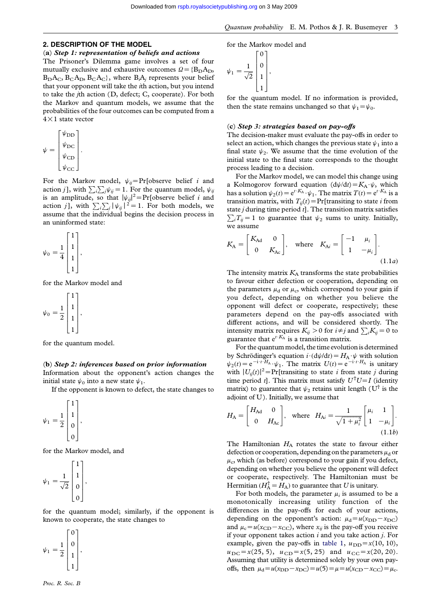# 2. DESCRIPTION OF THE MODEL

#### (a) Step 1: representation of beliefs and actions

The Prisoner's Dilemma game involves a set of four mutually exclusive and exhaustive outcomes  $Q = {B_D A_D}$ ,  $B_D A_C$ ,  $B_C A_D$ ,  $B_C A_C$ , where  $B_i A_j$  represents your belief that your opponent will take the ith action, but you intend to take the jth action (D, defect; C, cooperate). For both the Markov and quantum models, we assume that the probabilities of the four outcomes can be computed from a  $4 \times 1$  state vector

$$
\psi = \begin{bmatrix} \psi_{\text{DD}} \\ \psi_{\text{DC}} \\ \psi_{\text{CD}} \\ \psi_{\text{CC}} \end{bmatrix}.
$$

For the Markov model,  $\psi_{ij} = Pr[$ observe belief *i* and action j], with  $\sum_i \sum_j \psi_{ij} = 1$ . For the quantum model,  $\psi_{ij}$ is an amplitude, so that  $|\psi_{ij}|^2 = Pr[$  observe belief i and action j], with  $\sum_i \sum_j |\psi_{ij}|^2 = 1$ . For both models, we assume that the individual begins the decision process in an uninformed state:

$$
\psi_0 = \frac{1}{4} \begin{bmatrix} 1 \\ 1 \\ 1 \\ 1 \end{bmatrix},
$$

for the Markov model and

$$
\psi_0 = \frac{1}{2} \begin{bmatrix} 1 \\ 1 \\ 1 \\ 1 \end{bmatrix},
$$

for the quantum model.

## (b) Step 2: inferences based on prior information

Information about the opponent's action changes the initial state  $\psi_0$  into a new state  $\psi_1$ .

If the opponent is known to defect, the state changes to

$$
\psi_1 = \frac{1}{2} \begin{bmatrix} 1 \\ 1 \\ 0 \\ 0 \end{bmatrix},
$$

for the Markov model, and



for the quantum model; similarly, if the opponent is known to cooperate, the state changes to



[for the Ma](http://rspb.royalsocietypublishing.org/)rkov model and

$$
\psi_1 = \frac{1}{\sqrt{2}} \begin{bmatrix} 0 \\ 0 \\ 1 \\ 1 \end{bmatrix},
$$

for the quantum model. If no information is provided, then the state remains unchanged so that  $\psi_1 = \psi_0$ .

#### $(c)$  Step 3: strategies based on pay-offs

The decision-maker must evaluate the pay-offs in order to select an action, which changes the previous state  $\psi_1$  into a final state  $\psi_2$ . We assume that the time evolution of the initial state to the final state corresponds to the thought process leading to a decision.

For the Markov model, we can model this change using a Kolmogorov forward equation  $(d\psi/dt) = K_A \cdot \psi$ , which has a solution  $\psi_2(t) = e^{t \cdot K_A} \cdot \psi_1$ . The matrix  $T(t) = e^{t \cdot K_A}$  is a transition matrix, with  $T_{ii}(t)$  = Pr[transiting to state *i* from  $\sum_i T_{ij} = 1$  to guarantee that  $\psi_2$  sums to unity. Initially, state *j* during time period  $t$ ]. The transition matrix satisfies we assume

$$
K_{\rm A} = \begin{bmatrix} K_{\rm Ad} & 0 \\ 0 & K_{\rm Ac} \end{bmatrix}, \quad \text{where} \quad K_{\rm Ai} = \begin{bmatrix} -1 & \mu_i \\ 1 & -\mu_i \end{bmatrix}.
$$
 (1.1*a*)

The intensity matrix  $K_A$  transforms the state probabilities to favour either defection or cooperation, depending on the parameters  $\mu_d$  or  $\mu_c$ , which correspond to your gain if you defect, depending on whether you believe the opponent will defect or cooperate, respectively; these parameters depend on the pay-offs associated with different actions, and will be considered shortly. The intensity matrix requires  $K_{ij} > 0$  for  $i \neq j$  and  $\sum_i K_{ij} = 0$  to guarantee that  $e^{t \cdot K_A}$  is a transition matrix.

For the quantum model, the time evolution is determined by Schrödinger's equation  $i \cdot (\mathrm{d}\psi/\mathrm{d}t) = H_A \cdot \psi$  with solution  $\psi_2(t) = e^{-i \tau H_A} \psi_1$ . The matrix  $U(t) = e^{-i \tau H_A}$  is unitary with  $|U_{ij}(t)|^2 = Pr[$ transiting to state *i* from state *j* during time period t]. This matrix must satisfy  $U^{\dagger}U=I$  (identity matrix) to guarantee that  $\psi_2$  retains unit length (U<sup>†</sup> is the adjoint of U). Initially, we assume that

$$
H_{\rm A} = \begin{bmatrix} H_{\rm Ad} & 0 \\ 0 & H_{\rm Ac} \end{bmatrix}, \text{ where } H_{\rm Ai} = \frac{1}{\sqrt{1 + \mu_i^2}} \begin{bmatrix} \mu_i & 1 \\ 1 & -\mu_i \end{bmatrix}.
$$
  
(1.1*b*)

The Hamiltonian  $H_A$  rotates the state to favour either defection or cooperation, depending on the parameters  $\mu_d$  or  $\mu_c$ , which (as before) correspond to your gain if you defect, depending on whether you believe the opponent will defect or cooperate, respectively. The Hamiltonian must be Hermitian ( $H_{\rm A}^\dagger$  =  $H_{\rm A}$ ) to guarantee that  $U$  is unitary.

For both models, the parameter  $\mu_i$  is assumed to be a monotonically increasing utility function of the differences in the pay-offs for each of your actions, depending on the opponent's action:  $\mu_d = u(x_{DD} - x_{DC})$ and  $\mu_c = u(x_{CD} - x_{CC})$ , where  $x_{ii}$  is the pay-off you receive if your opponent takes action  $i$  and you take action  $j$ . For example, given the pay-offs in table 1,  $u_{\text{DD}} = x(10, 10)$ ,  $u_{\text{DC}} = x(25, 5), u_{\text{CD}} = x(5, 25)$  and  $u_{\text{CC}} = x(20, 20)$ . Assuming that utility is determined solely by your own payoffs, then  $\mu_d = u(x_{DD} - x_{DC}) = u(5) = \mu = u(x_{CD} - x_{CC}) = \mu_c$ .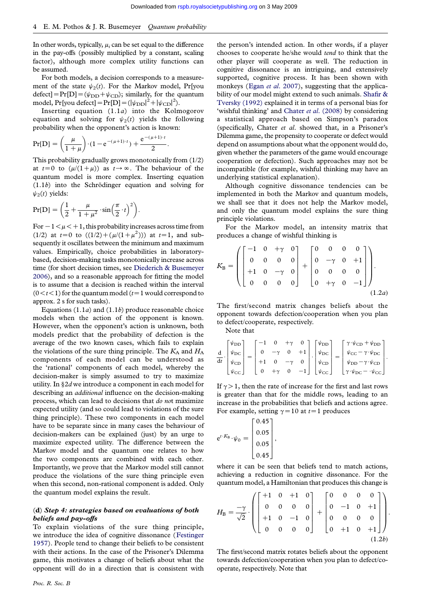In other words, typically,  $\mu_i$  can be set equal to the difference in the pay-offs (possibly multiplied by a constant, scaling factor), although more complex utility functions can be assumed.

For both models, a decision corresponds to a measurement of the state  $\psi_2(t)$ . For the Markov model, Pr[you defect] =  $Pr[D] = (\psi_{DD} + \psi_{CD})$ ; similarly, for the quantum model, Pr[you defect] =  $Pr[D] = (|\psi_{DD}|^2 + |\psi_{CD}|^2)$ .

Inserting equation (1.1a) into the Kolmogorov equation and solving for  $\psi_2(t)$  yields the following probability when the opponent's action is known:

$$
Pr[D] = \left(\frac{\mu}{1+\mu}\right) \cdot (1 - e^{-(\mu+1) \cdot t}) + \frac{e^{-(\mu+1) \cdot t}}{2}.
$$

This probability gradually grows monotonically from (1/2) at  $t=0$  to  $(\mu/(1+\mu))$  as  $t\rightarrow\infty$ . The behaviour of the quantum model is more complex. Inserting equation  $(1.1b)$  into the Schrödinger equation and solving for  $\psi_2(t)$  yields:

$$
Pr[D] = \left(\frac{1}{2} + \frac{\mu}{1+\mu^2} \cdot \sin\left(\frac{\pi}{2} \cdot t\right)^2\right).
$$

For  $-1 < \mu < +1$ , this probability increases across time from (1/2) at  $t=0$  to  $((1/2)+(\mu/(1+\mu^2)))$  at  $t=1$ , and subsequently it oscillates between the minimum and maximum values. Empirically, choice probabilities in laboratorybased, decision-making tasks monotonically increase across time (for short decision times, see Diederich & Busemeyer 2006), and so a reasonable approach for fitting the model is to assume that a decision is reached within the interval  $(0 < t < 1)$  for the quantum model  $(t=1$  would correspond to approx. 2 s for such tasks).

Equations  $(1.1a)$  and  $(1.1b)$  pr[oduce](#page-8-0) [reasonable](#page-8-0) [choice](#page-8-0) [mode](#page-8-0)ls when the action of the opponent is known. However, when the opponent's action is unknown, both models predict that the probability of defection is the average of the two known cases, which fails to explain the violations of the sure thing principle. The  $K_A$  and  $H_A$ components of each model can be understood as the 'rational' components of each model, whereby the decision-maker is simply assumed to try to maximize utility. In §2d we introduce a component in each model for describing an *additional* influence on the decision-making process, which can lead to decisions that do not maximize expected utility (and so could lead to violations of the sure thing principle). These two components in each model have to be separate since in many cases the behaviour of decision-makers can be explained (just) by an urge to maximize expected utility. The difference between the Markov model and the quantum one relates to how the two components are combined with each other. Importantly, we prove that the Markov model still cannot produce the violations of the sure thing principle even when this second, non-rational component is added. Only the quantum model explains the result.

# (d) Step 4: strategies based on evaluations of both beliefs and pay-offs

To explain violations of the sure thing principle, we introduce the idea of cognitive dissonance (Festinger 1957). People tend to change their beliefs to be consistent with their actions. In the case of the Prisoner's Dilemma game, this motivates a change of beliefs about what the opponent will do in a direction that is consis[tent with](#page-8-0)

[the person's in](http://rspb.royalsocietypublishing.org/)tended action. In other words, if a player chooses to cooperate he/she would tend to think that the other player will cooperate as well. The reduction in cognitive dissonance is an intriguing, and extensively supported, cognitive process. It has been shown with monkeys (Egan et al. 2007), suggesting that the applicability of our model might extend to such animals. Shafir & Tversky (1992) explained it in terms of a personal bias for 'wishful thinking' and Chater et al. (2008) by considering a statisti[cal approach ba](#page-8-0)sed on Simpson's paradox (specifically, Chater et al. showed that, in a P[risoner's](#page-8-0) [Dilemma game,](#page-8-0) the propensity to cooperate or defect would depend on assumption[s about what the oppo](#page-7-0)nent would do, given whether the parameters of the game would encourage cooperation or defection). Such approaches may not be incompatible (for example, wishful thinking may have an underlying statistical explanation).

Although cognitive dissonance tendencies can be implemented in both the Markov and quantum models, we shall see that it does not help the Markov model, and only the quantum model explains the sure thing principle violations.

For the Markov model, an intensity matrix that produces a change of wishful thinking is

$$
K_{\rm B} = \left( \begin{bmatrix} -1 & 0 & +\gamma & 0 \\ 0 & 0 & 0 & 0 \\ +1 & 0 & -\gamma & 0 \\ 0 & 0 & 0 & 0 \end{bmatrix} + \begin{bmatrix} 0 & 0 & 0 & 0 \\ 0 & -\gamma & 0 & +1 \\ 0 & 0 & 0 & 0 \\ 0 & +\gamma & 0 & -1 \end{bmatrix} \right).
$$
(1.2*a*)

The first/second matrix changes beliefs about the opponent towards defection/cooperation when you plan to defect/cooperate, respectively.

Note that

$$
\frac{d}{dt} \cdot \begin{bmatrix} \psi_{\text{DD}} \\ \psi_{\text{DC}} \\ \psi_{\text{CD}} \\ \psi_{\text{CC}} \end{bmatrix} = \begin{bmatrix} -1 & 0 & +\gamma & 0 \\ 0 & -\gamma & 0 & +1 \\ +1 & 0 & -\gamma & 0 \\ 0 & +\gamma & 0 & -1 \end{bmatrix} \cdot \begin{bmatrix} \psi_{\text{DD}} \\ \psi_{\text{DC}} \\ \psi_{\text{CD}} \\ \psi_{\text{CD}} \end{bmatrix} = \begin{bmatrix} \gamma \cdot \psi_{\text{CD}} + \psi_{\text{DD}} \\ \psi_{\text{CC}} - \gamma \cdot \psi_{\text{DC}} \\ \psi_{\text{DD}} - \gamma \cdot \psi_{\text{CD}} \\ \gamma \cdot \psi_{\text{DC}} - \cdot \psi_{\text{CC}} \end{bmatrix}.
$$

If  $\gamma$  > 1, then the rate of increase for the first and last rows is greater than that for the middle rows, leading to an increase in the probabilities that beliefs and actions agree. For example, setting  $\gamma=10$  at  $t=1$  produces

$$
e^{t \cdot K_B} \cdot \psi_0 = \begin{bmatrix} 0.45 \\ 0.05 \\ 0.05 \\ 0.45 \end{bmatrix},
$$

where it can be seen that beliefs tend to match actions, achieving a reduction in cognitive dissonance. For the quantum model, a Hamiltonian that produces this change is

$$
H_{\rm B} = \frac{-\gamma}{\sqrt{2}} \cdot \left( \begin{bmatrix} +1 & 0 & +1 & 0 \\ 0 & 0 & 0 & 0 \\ +1 & 0 & -1 & 0 \\ 0 & 0 & 0 & 0 \end{bmatrix} + \begin{bmatrix} 0 & 0 & 0 & 0 \\ 0 & -1 & 0 & +1 \\ 0 & 0 & 0 & 0 \\ 0 & +1 & 0 & +1 \end{bmatrix} \right).
$$
\n(1.2b)

The first/second matrix rotates beliefs about the opponent towards defection/cooperation when you plan to defect/cooperate, respectively. Note that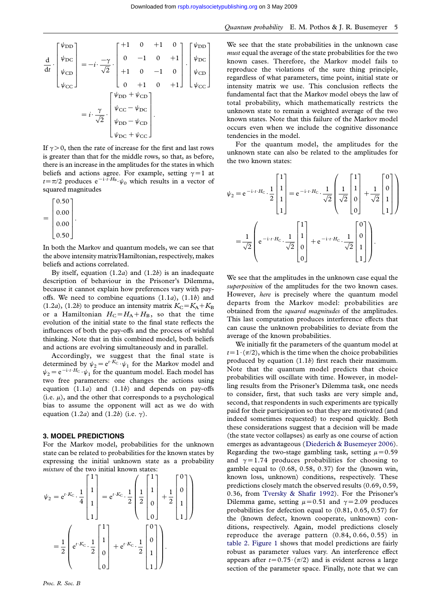$$
\frac{d}{dt} \cdot \begin{bmatrix} \psi_{\text{DD}} \\ \psi_{\text{DC}} \\ \psi_{\text{CD}} \end{bmatrix} = -i \cdot \frac{-\gamma}{\sqrt{2}} \cdot \begin{bmatrix} +1 & 0 & +1 & 0 \\ 0 & -1 & 0 & +1 \\ +1 & 0 & -1 & 0 \\ 0 & +1 & 0 & +1 \end{bmatrix} \cdot \begin{bmatrix} \psi_{\text{DD}} \\ \psi_{\text{DC}} \\ \psi_{\text{CD}} \end{bmatrix}
$$

$$
= i \cdot \frac{\gamma}{\sqrt{2}} \cdot \begin{bmatrix} \psi_{\text{DD}} + \psi_{\text{CD}} \\ \psi_{\text{DC}} - \psi_{\text{DC}} \\ \psi_{\text{DD}} - \psi_{\text{CD}} \\ \psi_{\text{DC}} + \psi_{\text{CC}} \end{bmatrix}.
$$

If  $\gamma$  > 0, then the rate of increase for the first and last rows is greater than that for the middle rows, so that, as before, there is an increase in the amplitudes for the states in which beliefs and actions agree. For example, setting  $\gamma=1$  at  $t = \pi/2$  produces  $e^{-i \tau H_B} \psi_0$  which results in a vector of squared magnitudes

$$
= \begin{bmatrix} 0.50 \\ 0.00 \\ 0.00 \\ 0.50 \end{bmatrix}.
$$

In both the Markov and quantum models, we can see that the above intensity matrix/Hamiltonian, respectively, makes beliefs and actions correlated.

By itself, equation  $(1.2a)$  and  $(1.2b)$  is an inadequate description of behaviour in the Prisoner's Dilemma, because it cannot explain how preferences vary with payoffs. We need to combine equations  $(1.1a)$ ,  $(1.1b)$  and (1.2a), (1.2b) to produce an intensity matrix  $K_C = K_A + K_B$ or a Hamiltonian  $H_C = H_A + H_B$ , so that the time evolution of the initial state to the final state reflects the influences of both the pay-offs and the process of wishful thinking. Note that in this combined model, both beliefs and actions are evolving simultaneously and in parallel.

Accordingly, we suggest that the final state is determined by  $\psi_2 = e^{t \cdot K_C} \cdot \psi_1$  for the Markov model and  $\psi_2 = e^{-i \cdot t \cdot H_C} \cdot \psi_1$  for the quantum model. Each model has two free parameters: one changes the actions using equation  $(1.1a)$  and  $(1.1b)$  and depends on pay-offs  $(i.e.  $\mu$ ), and the other that corresponds to a psychological$ bias to assume the opponent will act as we do with equation (1.2a) and (1.2b) (i.e.  $\gamma$ ).

## 3. MODEL PREDICTIONS

For the Markov model, probabilities for the unknown state can be related to probabilities for the known states by expressing the initial unknown state as a probability mixture of the two initial known states:

$$
\psi_2 = e^{t \cdot K_{\text{C}}} \cdot \frac{1}{4} \begin{bmatrix} 1 \\ 1 \\ 1 \\ 1 \end{bmatrix} = e^{t \cdot K_{\text{C}}} \cdot \frac{1}{2} \begin{bmatrix} 1 \\ 1 \\ 2 \\ 0 \end{bmatrix} + \frac{1}{2} \begin{bmatrix} 0 \\ 0 \\ 1 \\ 1 \end{bmatrix}
$$

$$
= \frac{1}{2} \begin{bmatrix} 1 \\ e^{t \cdot K_{\text{C}}} \cdot \frac{1}{2} \begin{bmatrix} 1 \\ 1 \\ 0 \\ 0 \end{bmatrix} + e^{t \cdot K_{\text{C}}} \cdot \frac{1}{2} \begin{bmatrix} 0 \\ 0 \\ 1 \\ 1 \end{bmatrix} \end{bmatrix}.
$$

[We see tha](http://rspb.royalsocietypublishing.org/)t the state probabilities in the unknown case must equal the average of the state probabilities for the two known cases. Therefore, the Markov model fails to reproduce the violations of the sure thing principle, regardless of what parameters, time point, initial state or intensity matrix we use. This conclusion reflects the fundamental fact that the Markov model obeys the law of total probability, which mathematically restricts the unknown state to remain a weighted average of the two known states. Note that this failure of the Markov model occurs even when we include the cognitive dissonance tendencies in the model.

For the quantum model, the amplitudes for the unknown state can also be related to the amplitudes for the two known states:

$$
\psi_2 = e^{-i \cdot t \cdot H_C} \cdot \frac{1}{2} \begin{bmatrix} 1 \\ 1 \\ 1 \\ 1 \end{bmatrix} = e^{-i \cdot t \cdot H_C} \cdot \frac{1}{\sqrt{2}} \begin{bmatrix} 1 \\ 1 \\ \sqrt{2} \\ 0 \end{bmatrix} + \frac{1}{\sqrt{2}} \begin{bmatrix} 0 \\ 0 \\ 1 \\ 1 \end{bmatrix}
$$

$$
= \frac{1}{\sqrt{2}} \begin{bmatrix} e^{-i \cdot t \cdot H_C} \cdot \frac{1}{\sqrt{2}} \begin{bmatrix} 1 \\ 1 \\ 0 \\ 0 \end{bmatrix} + e^{-i \cdot t \cdot H_C} \cdot \frac{1}{\sqrt{2}} \begin{bmatrix} 0 \\ 0 \\ 1 \\ 1 \end{bmatrix}.
$$

We see that the amplitudes in the unknown case equal the superposition of the amplitudes for the two known cases. However, here is precisely where the quantum model departs from the Markov model: probabilities are obtained from the squared magnitudes of the amplitudes. This last computation produces interference effects that can cause the unknown probabilities to deviate from the average of the known probabilities.

We initially fit the parameters of the quantum model at  $t=1 \cdot (\pi/2)$ , which is the time when the choice probabilities produced by equation (1.1b) first reach their maximum. Note that the quantum model predicts that choice probabilities will oscillate with time. However, in modelling results from the Prisoner's Dilemma task, one needs to consider, first, that such tasks are very simple and, second, that respondents in such experiments are typically paid for their participation so that they are motivated (and indeed sometimes requested) to respond quickly. Both these considerations suggest that a decision will be made (the state vector collapses) as early as one course of action emerges as advantageous (Diederich & Busemeyer 2006). Regarding the two-stage gambling task, setting  $\mu$  = 0.59 and  $\gamma=1.74$  produces probabilities for choosing to gamble equal to (0.68, 0.58, 0.37) for the (known win, known loss, unknown) [conditions, respectively. Thes](#page-8-0)e predictions closely match the observed results (0.69, 0.59, 0.36, from Tversky & Shafir 1992). For the Prisoner's Dilemma game, setting  $\mu$ =0.51 and  $\gamma$ =2.09 produces probabilities for defection equal to (0.81, 0.65, 0.57) for the (known defect, known cooperate, unknown) conditions, res[pectively. Again, mode](#page-8-0)l predictions closely reproduce the average pattern (0.84, 0.66, 0.55) in table 2. Figure 1 shows that model predictions are fairly robust as parameter values vary. An interference effect appears after  $t=0.75 \cdot (\pi/2)$  and is evident across a large section of the parameter space. Finally, note that we can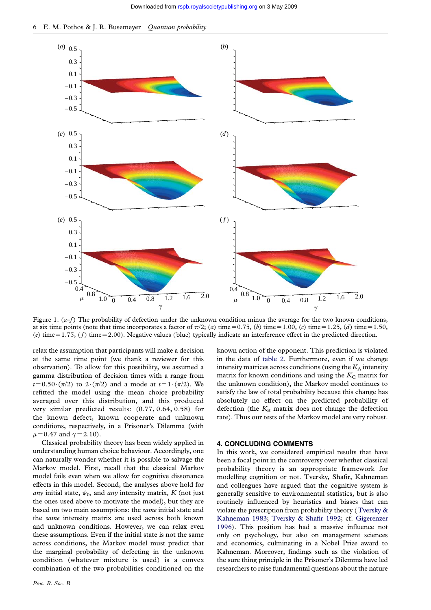

Figure 1.  $(a-f)$  The probability of defection under the unknown condition minus the average for the two known conditions, at six time points (note that time incorporates a factor of  $\pi/2$ ; (a) time=0.75, (b) time=1.00, (c) time=1.25, (d) time=1.50, (e) time=1.75, (f) time=2.00). Negative values (blue) typically indicate an interference effect in the predicted direction.

relax the assumption that participants will make a decision at the same time point (we thank a reviewer for this observation). To allow for this possibility, we assumed a gamma distribution of decision times with a range from  $t=0.50 \cdot (\pi/2)$  to  $2 \cdot (\pi/2)$  and a mode at  $t=1 \cdot (\pi/2)$ . We refitted the model using the mean choice probability averaged over this distribution, and this produced very similar predicted results: (0.77, 0.64, 0.58) for the known defect, known cooperate and unknown conditions, respectively, in a Prisoner's Dilemma (with  $\mu$ =0.47 and  $\gamma$ =2.10).

Classical probability theory has been widely applied in understanding human choice behaviour. Accordingly, one can naturally wonder whether it is possible to salvage the Markov model. First, recall that the classical Markov model fails even when we allow for cognitive dissonance effects in this model. Second, the analyses above hold for any initial state,  $\psi_0$ , and any intensity matrix, K (not just the ones used above to motivate the model), but they are based on two main assumptions: the same initial state and the same intensity matrix are used across both known and unknown conditions. However, we can relax even these assumptions. Even if the initial state is not the same across conditions, the Markov model must predict that the marginal probability of defecting in the unknown condition (whatever mixture is used) is a convex combination of the two probabilities conditioned on the

known action of the opponent. This prediction is violated in the data of table 2. Furthermore, even if we change intensity matrices across conditions (using the  $K_A$  intensity matrix for known conditions and using the  $K<sub>C</sub>$  matrix for the unknown condition), the Markov model continues to satisfy the law [of total p](#page-2-0)robability because this change has absolutely no effect on the predicted probability of defection (the  $K_{\text{B}}$  matrix does not change the defection rate). Thus our tests of the Markov model are very robust.

## 4. CONCLUDING COMMENTS

In this work, we considered empirical results that have been a focal point in the controversy over whether classical probability theory is an appropriate framework for modelling cognition or not. Tversky, Shafir, Kahneman and colleagues have argued that the cognitive system is generally sensitive to environmental statistics, but is also routinely influenced by heuristics and biases that can violate the prescription from probability theory (Tversky & Kahneman 1983; Tversky & Shafir 1992; cf. Gigerenzer 1996). This position has had a massive influence not only on psychology, but also on management sciences and economics, culminating in a Nobel Prize [award to](#page-8-0) [Kahneman. Mor](#page-8-0)e[over, findings such as](#page-8-0) the [violation of](#page-8-0) [the su](#page-8-0)re thing principle in the Prisoner's Dilemma have led researchers to raise fundamental questions about the nature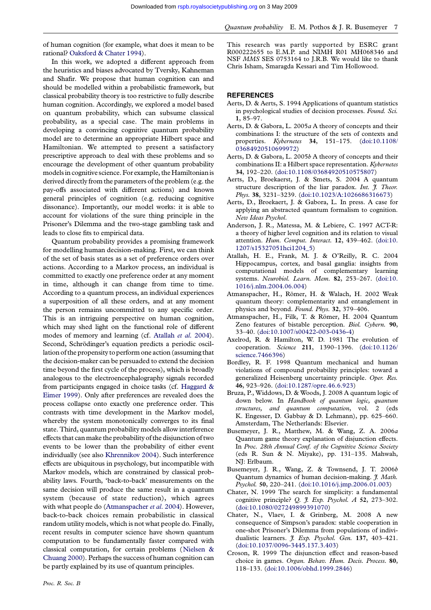<span id="page-7-0"></span>of human cognition (for example, what does [it mean to be](http://rspb.royalsocietypublishing.org/) rational? Oaksford & Chater 1994).

In this work, we adopted a different approach from the heuristics and biases advocated by Tversky, Kahneman and Shafir. We propose that human cognition can and should b[e modelled within a prob](#page-8-0)abilistic framework, but classical probability theory is too restrictive to fully describe human cognition. Accordingly, we explored a model based on quantum probability, which can subsume classical probability, as a special case. The main problems in developing a convincing cognitive quantum probability model are to determine an appropriate Hilbert space and Hamiltonian. We attempted to present a satisfactory prescriptive approach to deal with these problems and so encourage the development of other quantum probability models in cognitive science. For example, the Hamiltonian is derived directly from the parameters of the problem (e.g. the pay-offs associated with different actions) and known general principles of cognition (e.g. reducing cognitive dissonance). Importantly, our model works: it is able to account for violations of the sure thing principle in the Prisoner's Dilemma and the two-stage gambling task and leads to close fits to empirical data.

Quantum probability provides a promising framework for modelling human decision-making. First, we can think of the set of basis states as a set of preference orders over actions. According to a Markov process, an individual is committed to exactly one preference order at any moment in time, although it can change from time to time. According to a quantum process, an individual experiences a superposition of all these orders, and at any moment the person remains uncommitted to any specific order. This is an intriguing perspective on human cognition, which may shed light on the functional role of different modes of memory and learning (cf. Atallah et al. 2004). Second, Schrödinger's equation predicts a periodic oscillation of the propensity to perform one action (assuming that the decision-maker can be persuaded to extend the decision time beyond the first cycle of the process), which is broadly analogous to the electroencephalography signals recorded from participants engaged in choice tasks (cf. Haggard & Eimer 1999). Only after preferences are revealed does the process collapse onto exactly one preference order. This contrasts with time development in the Markov model, whereby the system monotonically converges [to its final](#page-8-0) [state. Third,](#page-8-0) quantum probability models allow interference effects that can make the probability of the disjunction of two events to be lower than the probability of either event individually (see also Khrennikov 2004). Such interference effects are ubiquitous in psychology, but incompatible with Markov models, which are constrained by classical probability laws. Fourth, 'back-to-back' measurements on the same decision will p[roduce the same r](#page-8-0)esult in a quantum system (because of state reduction), which agrees with what people do (Atmanspacher et al. 2004). However, back-to-back choices remain probabilistic in classical random utility models, which is not what people do. Finally, recent results in computer science have shown quantum computation to be fundamentally faster compared with classical computation, for certain problems (Nielsen & Chuang 2000). Perhaps the success of human cognition can be partly explained by its use of quantum principles.

This research was partly supported by ESRC grant R000222655 to E.M.P. and NIMH R01 MH068346 and NSF MMS SES 0753164 to J.R.B. We would like to thank Chris Isham, Smaragda Kessari and Tim Hollowood.

## REFERENCES

- Aerts, D. & Aerts, S. 1994 Applications of quantum statistics in psychological studies of decision processes. Found. Sci. 1, 85–97.
- Aerts, D. & Gabora, L. 2005a A theory of concepts and their combinations I: the structure of the sets of contexts and properties. Kybernetes 34, 151–175. (doi:10.1108/ 03684920510699972)
- Aerts, D. & Gabora, L. 2005b A theory of concepts and their combinations II: a Hilbert space representation. Kybernetes 34, 192–220. (doi:10.1108/03684920510575807)
- Aerts, D., Broekaerst, J. & Smets, S. 2004 [A quantum](http://dx.doi.org/doi:10.1108/03684920510699972) [structure description](http://dx.doi.org/doi:10.1108/03684920510699972) of the liar paradox. Int. J. Theor. Phys. 38, 3231–3239. (doi:10.1023/A:1026686316673)
- Aerts, D., Broekaert, J. & Gabora, L. In press. A case for applying an a[bstracted quantum formalism to co](http://dx.doi.org/doi:10.1108/03684920510575807)gnition. New Ideas Psychol.
- Anderson, J. R., Matessa, M. & Lebiere, C. 1997 ACT-R: a theory of higher level [cognition and its relation to visu](http://dx.doi.org/doi:10.1023/A:1026686316673)al attention. Hum. Comput. Interact. 12, 439–462. (doi:10. 1207/s15327051hci1204\_5)
- Atallah, H. E., Frank, M. J. & O'Reilly, R. C. 2004 Hippocampus, cortex, and basal ganglia: insights from computational models of complementary learning systems. Neurobiol. Learn. Mem. 82, 253-267. ([doi:10.](http://dx.doi.org/doi:10.1207/s15327051hci1204_5) [1016/j.nlm.2004.06.004\)](http://dx.doi.org/doi:10.1207/s15327051hci1204_5)
- Atmanspacher, H., Römer, H. & Walach, H. 2002 Weak quantum theory: complementarity and entanglement in physics and beyond. Found. Phys. 32, 379–406.
- Atmanspacher, H., Filk, T. & Römer, H. 2004 Q[uantum](http://dx.doi.org/doi:10.1016/j.nlm.2004.06.004) [Zeno features of bistab](http://dx.doi.org/doi:10.1016/j.nlm.2004.06.004)le perception. Biol. Cybern. 90, 33–40. (doi:10.1007/s00422-003-0436-4)
- Axelrod, R. & Hamilton, W. D. 1981 The evolution of cooperation. Science 211, 1390–1396. (doi:10.1126/ science.7466396)
- Bordley, R. F. 1998 Quantum mechanical and human violatio[ns of compound probability princ](http://dx.doi.org/doi:10.1007/s00422-003-0436-4)iples: toward a generalized Heisenberg uncertainty principle. [Oper.](http://dx.doi.org/doi:10.1126/science.7466396) [Res.](http://dx.doi.org/doi:10.1126/science.7466396) 46, 923–926. (doi:10.1287/opre.46.6.923)
- Br[uza, P., Widdows,](http://dx.doi.org/doi:10.1126/science.7466396) D. & Woods, J. 2008 A quantum logic of down below. In Handbook of quantum logic, quantum structures, and quantum computation, vol. 2 (eds K. Engesser, D. Gabbay & D. Lehmann), pp. 625–660. Amsterdam, T[he Netherlands: Elsevier.](http://dx.doi.org/doi:10.1287/opre.46.6.923)
- Busemeyer, J. R., Matthew, M. & Wang, Z. A. 2006a Quantum game theory explanation of disjunction effects. In Proc. 28th Annual Conf. of the Cognitive Science Society (eds R. Sun & N. Miyake), pp. 131–135. Mahwah, NJ: Erlbaum.
- Busemeyer, J. R., Wang, Z. & Townsend, J. T. 2006b Quantum dynamics of human decision-making. *J. Math.* Psychol. 50, 220–241. (doi:10.1016/j.jmp.2006.01.003)
- Chater, N. 1999 The search for simplicity: a fundamental cognitive principle? Q. J. Exp. Psychol. A 52, 273-302. (doi:10.1080/027249899391070)
- Chater, N., Vlaev, I. & Grinberg, M. 2008 A new consequence of Simps[on's paradox: stable cooperation](http://dx.doi.org/doi:10.1016/j.jmp.2006.01.003) in one-shot Prisoner's Dilemma from populations of individualistic learners. *J. Exp. Psychol. Gen.* 137, 403-421. ([doi:10.1037/0096-3445.137.3.4](http://dx.doi.org/doi:10.1080/027249899391070)03)
- Croson, R. 1999 The disjunction effect and reason-based choice in games. Organ. Behav. Hum. Decis. Process. 80, 118–133. (doi:10.1006/obhd.1999.2846)